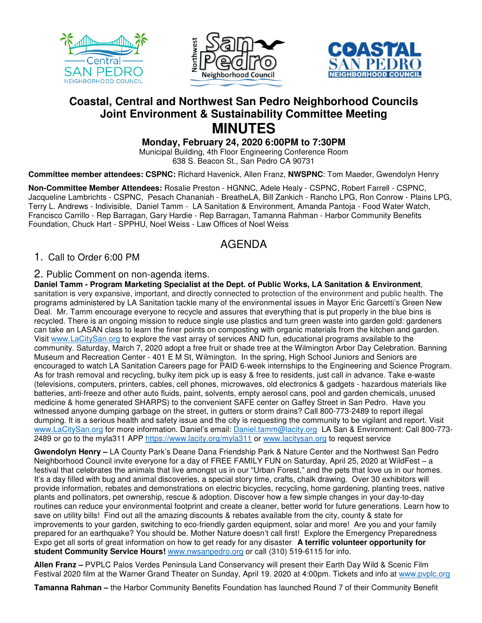





# **Coastal, Central and Northwest San Pedro Neighborhood Councils Joint Environment & Sustainability Committee Meeting MINUTES**

**Monday, February 24, 2020 6:00PM to 7:30PM** 

Municipal Building, 4th Floor Engineering Conference Room 638 S. Beacon St., San Pedro CA 90731

**Committee member attendees: CSPNC:** Richard Havenick, Allen Franz, **NWSPNC**: Tom Maeder, Gwendolyn Henry

**Non-Committee Member Attendees:** Rosalie Preston - HGNNC, Adele Healy - CSPNC, Robert Farrell - CSPNC, Jacqueline Lambrichts - CSPNC, Pesach Chananiah - BreatheLA, Bill Zankich - Rancho LPG, Ron Conrow - Plains LPG, Terry L. Andrews - Indivisible, Daniel Tamm - LA Sanitation & Environment, Amanda Pantoja - Food Water Watch, Francisco Carrillo - Rep Barragan, Gary Hardie - Rep Barragan, Tamanna Rahman - Harbor Community Benefits Foundation, Chuck Hart - SPPHU, Noel Weiss - Law Offices of Noel Weiss

# AGENDA

# 1. Call to Order 6:00 PM

## 2. Public Comment on non-agenda items.

**Daniel Tamm - Program Marketing Specialist at the Dept. of Public Works, LA Sanitation & Environment**, sanitation is very expansive, important, and directly connected to protection of the environment and public health. The programs administered by LA Sanitation tackle many of the environmental issues in Mayor Eric Garcetti's Green New Deal. Mr. Tamm encourage everyone to recycle and assures that everything that is put properly in the blue bins is recycled. There is an ongoing mission to reduce single use plastics and turn green waste into garden gold: gardeners can take an LASAN class to learn the finer points on composting with organic materials from the kitchen and garden. Visit www.LaCitySan.org to explore the vast array of services AND fun, educational programs available to the community. Saturday, March 7, 2020 adopt a free fruit or shade tree at the Wilmington Arbor Day Celebration. Banning Museum and Recreation Center - 401 E M St, Wilmington. In the spring, High School Juniors and Seniors are encouraged to watch LA Sanitation Careers page for PAID 6-week internships to the Engineering and Science Program. As for trash removal and recycling, bulky item pick up is easy & free to residents, just call in advance. Take e-waste (televisions, computers, printers, cables, cell phones, microwaves, old electronics & gadgets - hazardous materials like batteries, anti-freeze and other auto fluids, paint, solvents, empty aerosol cans, pool and garden chemicals, unused medicine & home generated SHARPS) to the convenient SAFE center on Gaffey Street in San Pedro. Have you witnessed anyone dumping garbage on the street, in gutters or storm drains? Call 800-773-2489 to report illegal dumping. It is a serious health and safety issue and the city is requesting the community to be vigilant and report. Visit www.LaCitySan.org for more information. Daniel's email: Daniel.tamm@lacity.org LA San & Environment: Call 800-773- 2489 or go to the myla311 APP https://www.lacity.org/myla311 or www.lacitysan.org to request service.

**Gwendolyn Henry –** LA County Park's Deane Dana Friendship Park & Nature Center and the Northwest San Pedro Neighborhood Council invite everyone for a day of FREE FAMILY FUN on Saturday, April 25, 2020 at WildFest – a festival that celebrates the animals that live amongst us in our "Urban Forest," and the pets that love us in our homes. It's a day filled with bug and animal discoveries, a special story time, crafts, chalk drawing. Over 30 exhibitors will provide information, rebates and demonstrations on electric bicycles, recycling, home gardening, planting trees, native plants and pollinators, pet ownership, rescue & adoption. Discover how a few simple changes in your day-to-day routines can reduce your environmental footprint and create a cleaner, better world for future generations. Learn how to save on utility bills! Find out all the amazing discounts & rebates available from the city, county & state for improvements to your garden, switching to eco-friendly garden equipment, solar and more! Are you and your family prepared for an earthquake? You should be. Mother Nature doesn't call first! Explore the Emergency Preparedness Expo get all sorts of great information on how to get ready for any disaster. **A terrific volunteer opportunity for student Community Service Hours!** www.nwsanpedro.org or call (310) 519-6115 for info.

**Allen Franz –** PVPLC Palos Verdes Peninsula Land Conservancy will present their Earth Day Wild & Scenic Film Festival 2020 film at the Warner Grand Theater on Sunday, April 19. 2020 at 4:00pm. Tickets and info at www.pvplc.org

**Tamanna Rahman –** the Harbor Community Benefits Foundation has launched Round 7 of their Community Benefit